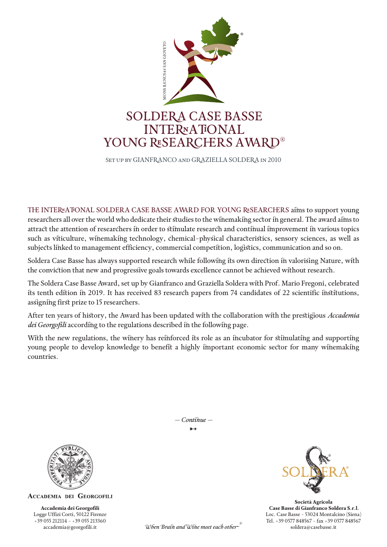

Set up by GIANFRANCO and GRAZIELLA SOLDERA in 2010

THE INTERNATIONAL SOLDERA CASE BASSE AWARD FOR YOUNG RESEARCHERS aims to support young researchers all over the world who dedicate their studies to the winemaking sector in general. The award aims to attract the attention of researchers in order to stimulate research and continual improvement in various topics such as viticulture, winemaking technology, chemical-physical characteristics, sensory sciences, as well as subjects linked to management efficiency, commercial competition, logistics, communication and so on.

Soldera Case Basse has always supported research while following its own direction in valorising Nature, with the conviction that new and progressive goals towards excellence cannot be achieved without research.

The Soldera Case Basse Award, set up by Gianfranco and Graziella Soldera with Prof. Mario Fregoni, celebrated its tenth edition in 2019. It has received 83 research papers from 74 candidates of 22 scientific institutions, assigning first prize to 15 researchers.

After ten years of history, the Award has been updated with the collaboration with the prestigious *Accademia dei Georgofili* according to the regulations described in the following page.

With the new regulations, the winery has reinforced its role as an incubator for stimulating and supporting young people to develop knowledge to benefit a highly important economic sector for many winemaking countries.



**ACCADEMIA DEI GEORGOFILI** 

**Accademia dei Georgofili** Logge Uffizi Corti, 50122 Firenze +39 055 212114 - +39 055 213360 accademia@georgofili.it

 $\rightarrow$ *- Continue -*



**Società Agricola Case Basse di Gianfranco Soldera S.r.l.** Loc. Case Basse - 53024 Montalcino (Siena) Tel. +39 0577 848567 - fax +39 0577 848567 soldera@casebasse.it

When Brain and Wine meet each other $\cdot$